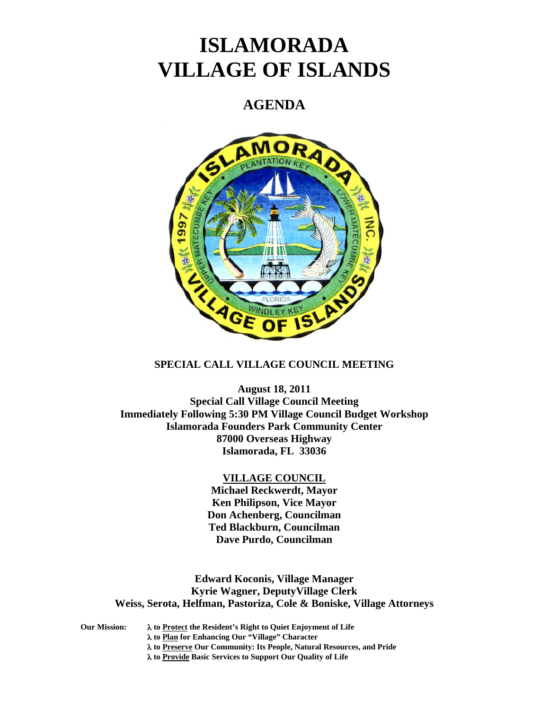# **ISLAMORADA VILLAGE OF ISLANDS**

# **AGENDA**



# **SPECIAL CALL VILLAGE COUNCIL MEETING**

**August 18, 2011 Special Call Village Council Meeting Immediately Following 5:30 PM Village Council Budget Workshop Islamorada Founders Park Community Center 87000 Overseas Highway Islamorada, FL 33036** 

### **VILLAGE COUNCIL**

**Michael Reckwerdt, Mayor Ken Philipson, Vice Mayor Don Achenberg, Councilman Ted Blackburn, Councilman Dave Purdo, Councilman** 

**Edward Koconis, Village Manager Kyrie Wagner, DeputyVillage Clerk Weiss, Serota, Helfman, Pastoriza, Cole & Boniske, Village Attorneys** 

**Our Mission: to Protect the Resident's Right to Quiet Enjoyment of Life to Plan for Enhancing Our "Village" Character to Preserve Our Community: Its People, Natural Resources, and Pride to Provide Basic Services to Support Our Quality of Life**